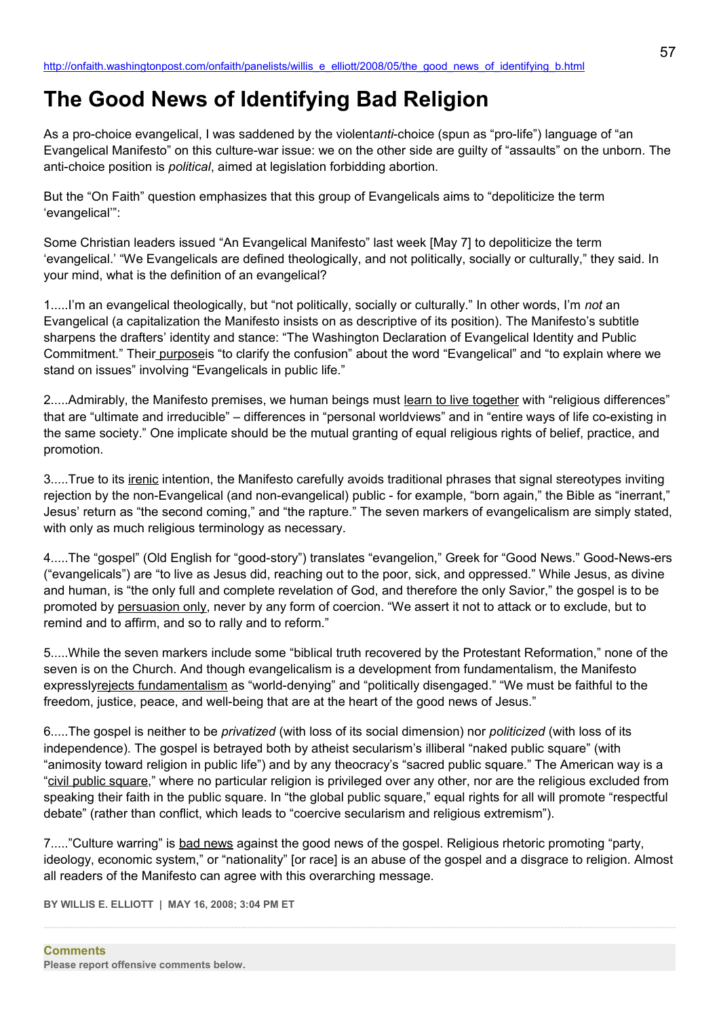## **The Good News of Identifying Bad Religion**

As a pro-choice evangelical, I was saddened by the violent*anti*-choice (spun as "pro-life") language of "an Evangelical Manifesto" on this culture-war issue: we on the other side are guilty of "assaults" on the unborn. The anti-choice position is *political*, aimed at legislation forbidding abortion.

But the "On Faith" question emphasizes that this group of Evangelicals aims to "depoliticize the term 'evangelical'":

Some Christian leaders issued "An Evangelical Manifesto" last week [May 7] to depoliticize the term 'evangelical.' "We Evangelicals are defined theologically, and not politically, socially or culturally," they said. In your mind, what is the definition of an evangelical?

1.....I'm an evangelical theologically, but "not politically, socially or culturally." In other words, I'm *not* an Evangelical (a capitalization the Manifesto insists on as descriptive of its position). The Manifesto's subtitle sharpens the drafters' identity and stance: "The Washington Declaration of Evangelical Identity and Public Commitment." Their purposeis "to clarify the confusion" about the word "Evangelical" and "to explain where we stand on issues" involving "Evangelicals in public life."

2.....Admirably, the Manifesto premises, we human beings must learn to live together with "religious differences" that are "ultimate and irreducible" – differences in "personal worldviews" and in "entire ways of life co-existing in the same society." One implicate should be the mutual granting of equal religious rights of belief, practice, and promotion.

3.....True to its *irenic* intention, the Manifesto carefully avoids traditional phrases that signal stereotypes inviting rejection by the non-Evangelical (and non-evangelical) public - for example, "born again," the Bible as "inerrant," Jesus' return as "the second coming," and "the rapture." The seven markers of evangelicalism are simply stated, with only as much religious terminology as necessary.

4.....The "gospel" (Old English for "good-story") translates "evangelion," Greek for "Good News." Good-News-ers ("evangelicals") are "to live as Jesus did, reaching out to the poor, sick, and oppressed." While Jesus, as divine and human, is "the only full and complete revelation of God, and therefore the only Savior," the gospel is to be promoted by persuasion only, never by any form of coercion. "We assert it not to attack or to exclude, but to remind and to affirm, and so to rally and to reform."

5.....While the seven markers include some "biblical truth recovered by the Protestant Reformation," none of the seven is on the Church. And though evangelicalism is a development from fundamentalism, the Manifesto expresslyrejects fundamentalism as "world-denying" and "politically disengaged." "We must be faithful to the freedom, justice, peace, and well-being that are at the heart of the good news of Jesus."

6.....The gospel is neither to be *privatized* (with loss of its social dimension) nor *politicized* (with loss of its independence). The gospel is betrayed both by atheist secularism's illiberal "naked public square" (with "animosity toward religion in public life") and by any theocracy's "sacred public square." The American way is a "civil public square," where no particular religion is privileged over any other, nor are the religious excluded from speaking their faith in the public square. In "the global public square," equal rights for all will promote "respectful debate" (rather than conflict, which leads to "coercive secularism and religious extremism").

7....."Culture warring" is bad news against the good news of the gospel. Religious rhetoric promoting "party, ideology, economic system," or "nationality" [or race] is an abuse of the gospel and a disgrace to religion. Almost all readers of the Manifesto can agree with this overarching message.

**BY WILLIS E. ELLIOTT | MAY 16, 2008; 3:04 PM ET**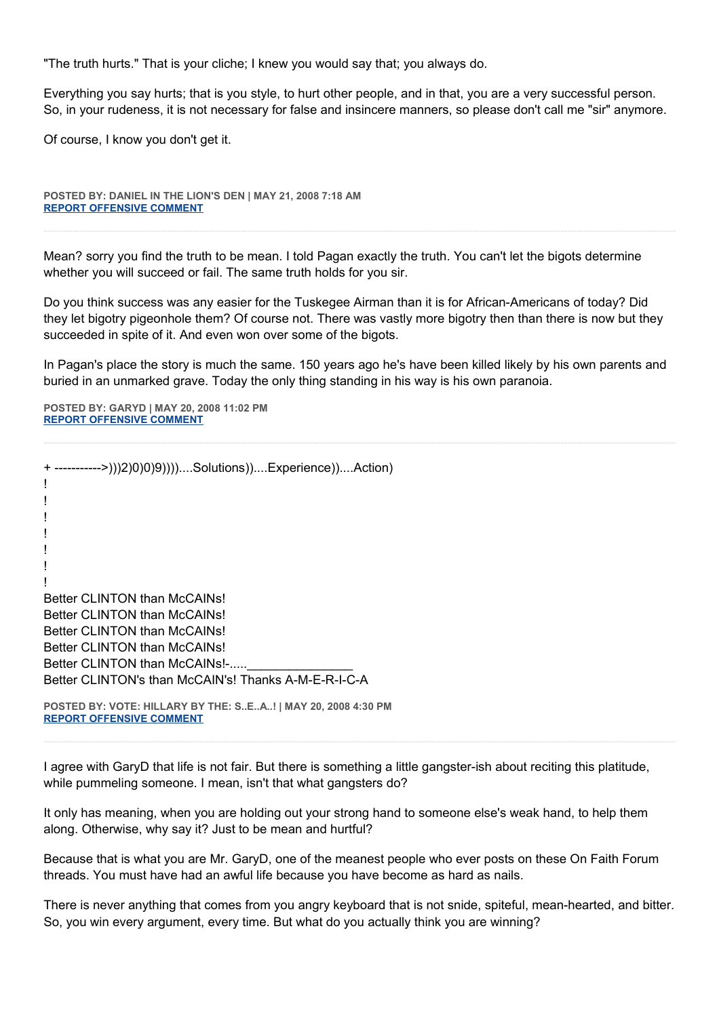"The truth hurts." That is your cliche; I knew you would say that; you always do.

Everything you say hurts; that is you style, to hurt other people, and in that, you are a very successful person. So, in your rudeness, it is not necessary for false and insincere manners, so please don't call me "sir" anymore.

Of course, I know you don't get it.

**POSTED BY: DANIEL IN THE LION'S DEN | MAY 21, 2008 7:18 AM [REPORT OFFENSIVE COMMENT](mailto:blogs@washingtonpost.com?subject=On%20Faith%20Panelists%20Blog%20%20%7C%20%20Daniel%20in%20the%20Lion)**

Mean? sorry you find the truth to be mean. I told Pagan exactly the truth. You can't let the bigots determine whether you will succeed or fail. The same truth holds for you sir.

Do you think success was any easier for the Tuskegee Airman than it is for African-Americans of today? Did they let bigotry pigeonhole them? Of course not. There was vastly more bigotry then than there is now but they succeeded in spite of it. And even won over some of the bigots.

In Pagan's place the story is much the same. 150 years ago he's have been killed likely by his own parents and buried in an unmarked grave. Today the only thing standing in his way is his own paranoia.

**POSTED BY: GARYD | MAY 20, 2008 11:02 PM [REPORT OFFENSIVE COMMENT](mailto:blogs@washingtonpost.com?subject=On%20Faith%20Panelists%20Blog%20%20%7C%20%20Garyd%20%20%7C%20%20The%20Good%20News%20of%20Identifying%20Bad%20Religion%20%20%7C%20%203548230&body=%0D%0D%0D%0D%0D================%0D?__mode=view%26_type=comment%26id=3548230%26blog_id=618)**

+ ----------->)))2)0)0)9))))....Solutions))....Experience))....Action) ! ! ! ! ! ! ! Better CLINTON than McCAINs! Better CLINTON than McCAINs! Better CLINTON than McCAINs! Better CLINTON than McCAINs! Better CLINTON than McCAINs!-..... Better CLINTON's than McCAIN's! Thanks A-M-E-R-I-C-A

**POSTED BY: VOTE: HILLARY BY THE: S..E..A..! | MAY 20, 2008 4:30 PM [REPORT OFFENSIVE COMMENT](mailto:blogs@washingtonpost.com?subject=On%20Faith%20Panelists%20Blog%20%20%7C%20%20VOTE:%20Hillary%20by%20the:%20S..E..A..!%20%20%7C%20%20The%20Good%20News%20of%20Identifying%20Bad%20Religion%20%20%7C%20%203544934&body=%0D%0D%0D%0D%0D================%0D?__mode=view%26_type=comment%26id=3544934%26blog_id=618)**

I agree with GaryD that life is not fair. But there is something a little gangster-ish about reciting this platitude, while pummeling someone. I mean, isn't that what gangsters do?

It only has meaning, when you are holding out your strong hand to someone else's weak hand, to help them along. Otherwise, why say it? Just to be mean and hurtful?

Because that is what you are Mr. GaryD, one of the meanest people who ever posts on these On Faith Forum threads. You must have had an awful life because you have become as hard as nails.

There is never anything that comes from you angry keyboard that is not snide, spiteful, mean-hearted, and bitter. So, you win every argument, every time. But what do you actually think you are winning?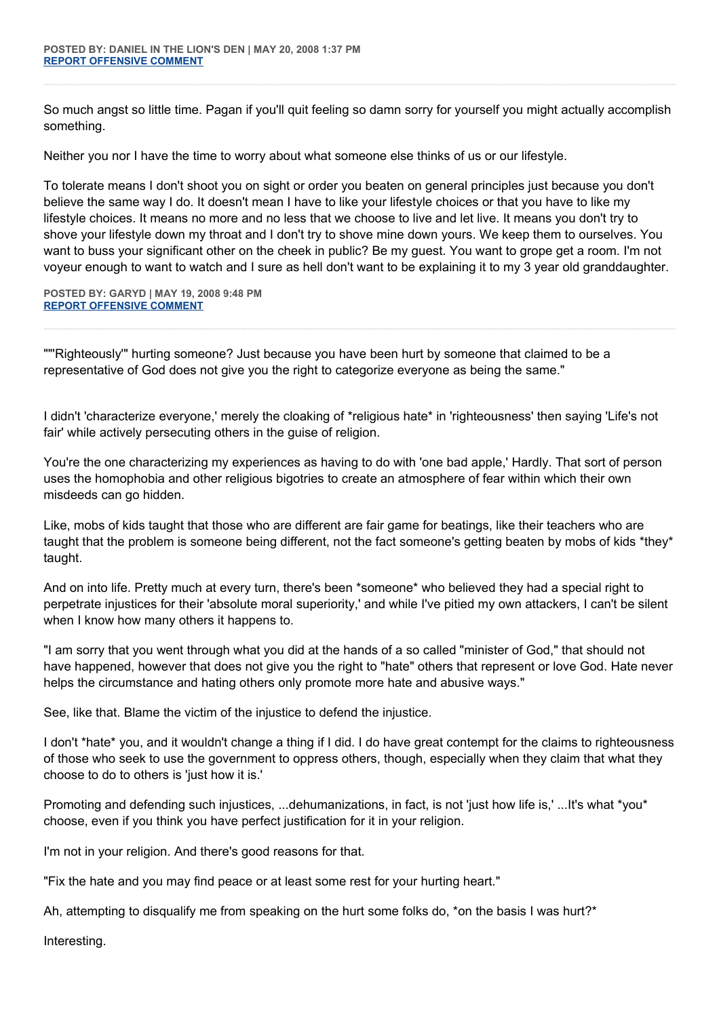So much angst so little time. Pagan if you'll quit feeling so damn sorry for yourself you might actually accomplish something.

Neither you nor I have the time to worry about what someone else thinks of us or our lifestyle.

To tolerate means I don't shoot you on sight or order you beaten on general principles just because you don't believe the same way I do. It doesn't mean I have to like your lifestyle choices or that you have to like my lifestyle choices. It means no more and no less that we choose to live and let live. It means you don't try to shove your lifestyle down my throat and I don't try to shove mine down yours. We keep them to ourselves. You want to buss your significant other on the cheek in public? Be my guest. You want to grope get a room. I'm not voyeur enough to want to watch and I sure as hell don't want to be explaining it to my 3 year old granddaughter.

**POSTED BY: GARYD | MAY 19, 2008 9:48 PM [REPORT OFFENSIVE COMMENT](mailto:blogs@washingtonpost.com?subject=On%20Faith%20Panelists%20Blog%20%20%7C%20%20Garyd%20%20%7C%20%20The%20Good%20News%20of%20Identifying%20Bad%20Religion%20%20%7C%20%203535540&body=%0D%0D%0D%0D%0D================%0D?__mode=view%26_type=comment%26id=3535540%26blog_id=618)**

""'Righteously'" hurting someone? Just because you have been hurt by someone that claimed to be a representative of God does not give you the right to categorize everyone as being the same."

I didn't 'characterize everyone,' merely the cloaking of \*religious hate\* in 'righteousness' then saying 'Life's not fair' while actively persecuting others in the guise of religion.

You're the one characterizing my experiences as having to do with 'one bad apple,' Hardly. That sort of person uses the homophobia and other religious bigotries to create an atmosphere of fear within which their own misdeeds can go hidden.

Like, mobs of kids taught that those who are different are fair game for beatings, like their teachers who are taught that the problem is someone being different, not the fact someone's getting beaten by mobs of kids \*they\* taught.

And on into life. Pretty much at every turn, there's been \*someone\* who believed they had a special right to perpetrate injustices for their 'absolute moral superiority,' and while I've pitied my own attackers, I can't be silent when I know how many others it happens to.

"I am sorry that you went through what you did at the hands of a so called "minister of God," that should not have happened, however that does not give you the right to "hate" others that represent or love God. Hate never helps the circumstance and hating others only promote more hate and abusive ways."

See, like that. Blame the victim of the injustice to defend the injustice.

I don't \*hate\* you, and it wouldn't change a thing if I did. I do have great contempt for the claims to righteousness of those who seek to use the government to oppress others, though, especially when they claim that what they choose to do to others is 'just how it is.'

Promoting and defending such injustices, ...dehumanizations, in fact, is not 'just how life is,' ...It's what \*you\* choose, even if you think you have perfect justification for it in your religion.

I'm not in your religion. And there's good reasons for that.

"Fix the hate and you may find peace or at least some rest for your hurting heart."

Ah, attempting to disqualify me from speaking on the hurt some folks do, \*on the basis I was hurt?\*

Interesting.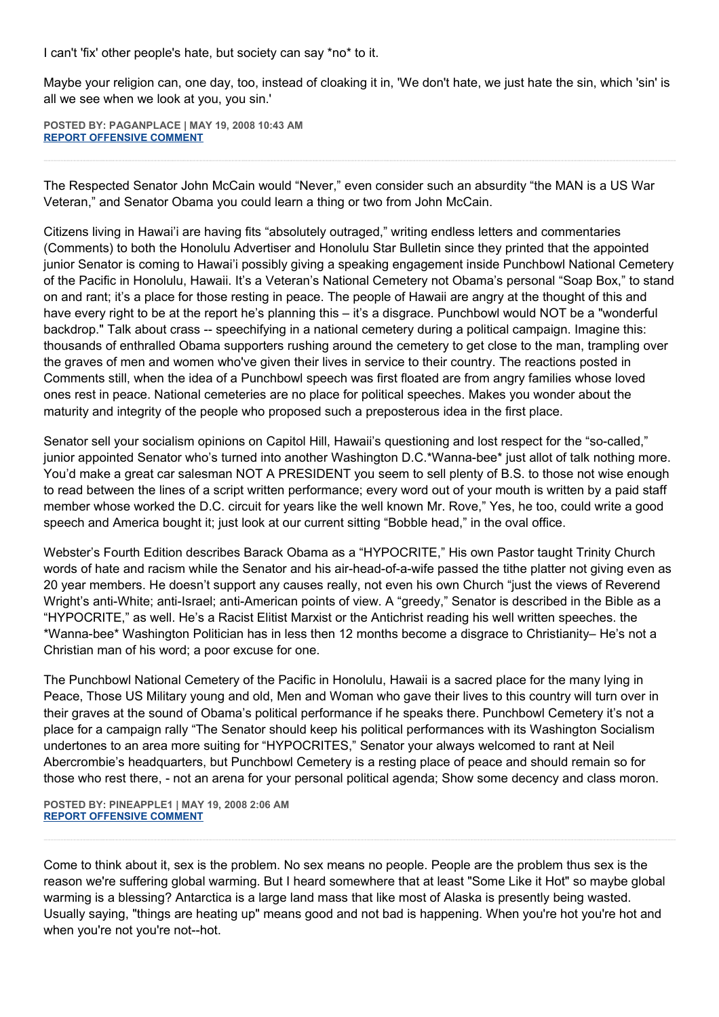I can't 'fix' other people's hate, but society can say \*no\* to it.

Maybe your religion can, one day, too, instead of cloaking it in, 'We don't hate, we just hate the sin, which 'sin' is all we see when we look at you, you sin.'

**POSTED BY: PAGANPLACE | MAY 19, 2008 10:43 AM [REPORT OFFENSIVE COMMENT](mailto:blogs@washingtonpost.com?subject=On%20Faith%20Panelists%20Blog%20%20%7C%20%20Paganplace%20%20%7C%20%20The%20Good%20News%20of%20Identifying%20Bad%20Religion%20%20%7C%20%203530001&body=%0D%0D%0D%0D%0D================%0D?__mode=view%26_type=comment%26id=3530001%26blog_id=618)**

The Respected Senator John McCain would "Never," even consider such an absurdity "the MAN is a US War Veteran," and Senator Obama you could learn a thing or two from John McCain.

Citizens living in Hawai'i are having fits "absolutely outraged," writing endless letters and commentaries (Comments) to both the Honolulu Advertiser and Honolulu Star Bulletin since they printed that the appointed junior Senator is coming to Hawai'i possibly giving a speaking engagement inside Punchbowl National Cemetery of the Pacific in Honolulu, Hawaii. It's a Veteran's National Cemetery not Obama's personal "Soap Box," to stand on and rant; it's a place for those resting in peace. The people of Hawaii are angry at the thought of this and have every right to be at the report he's planning this – it's a disgrace. Punchbowl would NOT be a "wonderful backdrop." Talk about crass -- speechifying in a national cemetery during a political campaign. Imagine this: thousands of enthralled Obama supporters rushing around the cemetery to get close to the man, trampling over the graves of men and women who've given their lives in service to their country. The reactions posted in Comments still, when the idea of a Punchbowl speech was first floated are from angry families whose loved ones rest in peace. National cemeteries are no place for political speeches. Makes you wonder about the maturity and integrity of the people who proposed such a preposterous idea in the first place.

Senator sell your socialism opinions on Capitol Hill, Hawaii's questioning and lost respect for the "so-called," junior appointed Senator who's turned into another Washington D.C.\*Wanna-bee\* just allot of talk nothing more. You'd make a great car salesman NOT A PRESIDENT you seem to sell plenty of B.S. to those not wise enough to read between the lines of a script written performance; every word out of your mouth is written by a paid staff member whose worked the D.C. circuit for years like the well known Mr. Rove," Yes, he too, could write a good speech and America bought it; just look at our current sitting "Bobble head," in the oval office.

Webster's Fourth Edition describes Barack Obama as a "HYPOCRITE," His own Pastor taught Trinity Church words of hate and racism while the Senator and his air-head-of-a-wife passed the tithe platter not giving even as 20 year members. He doesn't support any causes really, not even his own Church "just the views of Reverend Wright's anti-White; anti-Israel; anti-American points of view. A "greedy," Senator is described in the Bible as a "HYPOCRITE," as well. He's a Racist Elitist Marxist or the Antichrist reading his well written speeches. the \*Wanna-bee\* Washington Politician has in less then 12 months become a disgrace to Christianity– He's not a Christian man of his word; a poor excuse for one.

The Punchbowl National Cemetery of the Pacific in Honolulu, Hawaii is a sacred place for the many lying in Peace, Those US Military young and old, Men and Woman who gave their lives to this country will turn over in their graves at the sound of Obama's political performance if he speaks there. Punchbowl Cemetery it's not a place for a campaign rally "The Senator should keep his political performances with its Washington Socialism undertones to an area more suiting for "HYPOCRITES," Senator your always welcomed to rant at Neil Abercrombie's headquarters, but Punchbowl Cemetery is a resting place of peace and should remain so for those who rest there, - not an arena for your personal political agenda; Show some decency and class moron.

**POSTED BY: PINEAPPLE1 | MAY 19, 2008 2:06 AM [REPORT OFFENSIVE COMMENT](mailto:blogs@washingtonpost.com?subject=On%20Faith%20Panelists%20Blog%20%20%7C%20%20Pineapple1%20%20%7C%20%20The%20Good%20News%20of%20Identifying%20Bad%20Religion%20%20%7C%20%203526623&body=%0D%0D%0D%0D%0D================%0D?__mode=view%26_type=comment%26id=3526623%26blog_id=618)**

Come to think about it, sex is the problem. No sex means no people. People are the problem thus sex is the reason we're suffering global warming. But I heard somewhere that at least "Some Like it Hot" so maybe global warming is a blessing? Antarctica is a large land mass that like most of Alaska is presently being wasted. Usually saying, "things are heating up" means good and not bad is happening. When you're hot you're hot and when you're not you're not--hot.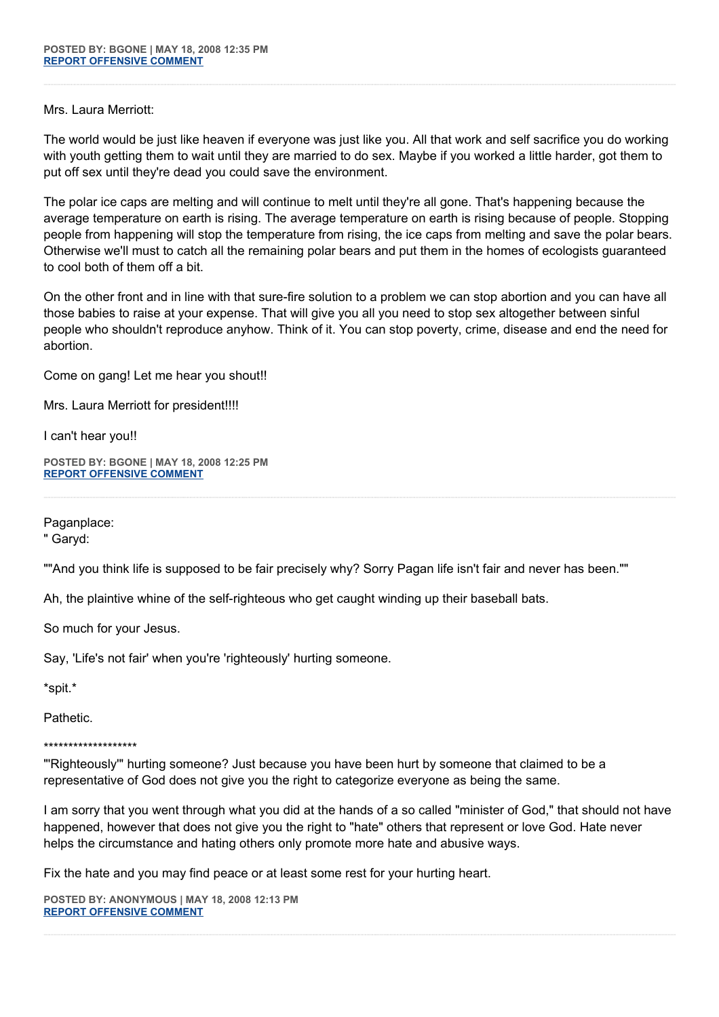## Mrs. Laura Merriott:

The world would be just like heaven if everyone was just like you. All that work and self sacrifice you do working with youth getting them to wait until they are married to do sex. Maybe if you worked a little harder, got them to put off sex until they're dead you could save the environment.

The polar ice caps are melting and will continue to melt until they're all gone. That's happening because the average temperature on earth is rising. The average temperature on earth is rising because of people. Stopping people from happening will stop the temperature from rising, the ice caps from melting and save the polar bears. Otherwise we'll must to catch all the remaining polar bears and put them in the homes of ecologists guaranteed to cool both of them off a bit.

On the other front and in line with that sure-fire solution to a problem we can stop abortion and you can have all those babies to raise at your expense. That will give you all you need to stop sex altogether between sinful people who shouldn't reproduce anyhow. Think of it. You can stop poverty, crime, disease and end the need for abortion.

Come on gang! Let me hear you shout!!

Mrs. Laura Merriott for president!!!!

I can't hear you!!

**POSTED BY: BGONE | MAY 18, 2008 12:25 PM [REPORT OFFENSIVE COMMENT](mailto:blogs@washingtonpost.com?subject=On%20Faith%20Panelists%20Blog%20%20%7C%20%20BGone%20%20%7C%20%20The%20Good%20News%20of%20Identifying%20Bad%20Religion%20%20%7C%20%203521542&body=%0D%0D%0D%0D%0D================%0D?__mode=view%26_type=comment%26id=3521542%26blog_id=618)**

Paganplace:

" Garyd:

""And you think life is supposed to be fair precisely why? Sorry Pagan life isn't fair and never has been.""

Ah, the plaintive whine of the self-righteous who get caught winding up their baseball bats.

So much for your Jesus.

Say, 'Life's not fair' when you're 'righteously' hurting someone.

\*spit.\*

Pathetic.

## \*\*\*\*\*\*\*\*\*\*\*\*\*\*\*\*\*\*\*

"'Righteously'" hurting someone? Just because you have been hurt by someone that claimed to be a representative of God does not give you the right to categorize everyone as being the same.

I am sorry that you went through what you did at the hands of a so called "minister of God," that should not have happened, however that does not give you the right to "hate" others that represent or love God. Hate never helps the circumstance and hating others only promote more hate and abusive ways.

Fix the hate and you may find peace or at least some rest for your hurting heart.

**POSTED BY: ANONYMOUS | MAY 18, 2008 12:13 PM [REPORT OFFENSIVE COMMENT](mailto:blogs@washingtonpost.com?subject=On%20Faith%20Panelists%20Blog%20%20%7C%20%20Anonymous%20%20%7C%20%20The%20Good%20News%20of%20Identifying%20Bad%20Religion%20%20%7C%20%203521469&body=%0D%0D%0D%0D%0D================%0D?__mode=view%26_type=comment%26id=3521469%26blog_id=618)**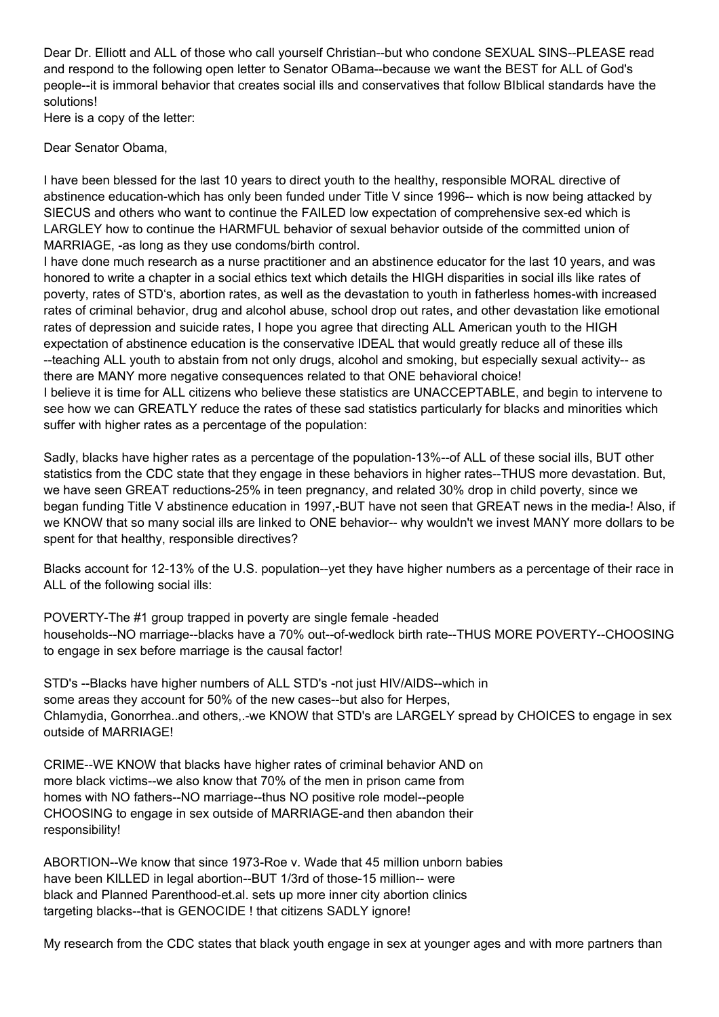Dear Dr. Elliott and ALL of those who call yourself Christian--but who condone SEXUAL SINS--PLEASE read and respond to the following open letter to Senator OBama--because we want the BEST for ALL of God's people--it is immoral behavior that creates social ills and conservatives that follow BIblical standards have the solutions!

Here is a copy of the letter:

Dear Senator Obama,

I have been blessed for the last 10 years to direct youth to the healthy, responsible MORAL directive of abstinence education-which has only been funded under Title V since 1996-- which is now being attacked by SIECUS and others who want to continue the FAILED low expectation of comprehensive sex-ed which is LARGLEY how to continue the HARMFUL behavior of sexual behavior outside of the committed union of MARRIAGE, -as long as they use condoms/birth control.

I have done much research as a nurse practitioner and an abstinence educator for the last 10 years, and was honored to write a chapter in a social ethics text which details the HIGH disparities in social ills like rates of poverty, rates of STD's, abortion rates, as well as the devastation to youth in fatherless homes-with increased rates of criminal behavior, drug and alcohol abuse, school drop out rates, and other devastation like emotional rates of depression and suicide rates, I hope you agree that directing ALL American youth to the HIGH expectation of abstinence education is the conservative IDEAL that would greatly reduce all of these ills --teaching ALL youth to abstain from not only drugs, alcohol and smoking, but especially sexual activity-- as there are MANY more negative consequences related to that ONE behavioral choice! I believe it is time for ALL citizens who believe these statistics are UNACCEPTABLE, and begin to intervene to

see how we can GREATLY reduce the rates of these sad statistics particularly for blacks and minorities which suffer with higher rates as a percentage of the population:

Sadly, blacks have higher rates as a percentage of the population-13%--of ALL of these social ills, BUT other statistics from the CDC state that they engage in these behaviors in higher rates--THUS more devastation. But, we have seen GREAT reductions-25% in teen pregnancy, and related 30% drop in child poverty, since we began funding Title V abstinence education in 1997,-BUT have not seen that GREAT news in the media-! Also, if we KNOW that so many social ills are linked to ONE behavior-- why wouldn't we invest MANY more dollars to be spent for that healthy, responsible directives?

Blacks account for 12-13% of the U.S. population--yet they have higher numbers as a percentage of their race in ALL of the following social ills:

POVERTY-The #1 group trapped in poverty are single female -headed households--NO marriage--blacks have a 70% out--of-wedlock birth rate--THUS MORE POVERTY--CHOOSING to engage in sex before marriage is the causal factor!

STD's --Blacks have higher numbers of ALL STD's -not just HIV/AIDS--which in some areas they account for 50% of the new cases--but also for Herpes, Chlamydia, Gonorrhea..and others,.-we KNOW that STD's are LARGELY spread by CHOICES to engage in sex outside of MARRIAGE!

CRIME--WE KNOW that blacks have higher rates of criminal behavior AND on more black victims--we also know that 70% of the men in prison came from homes with NO fathers--NO marriage--thus NO positive role model--people CHOOSING to engage in sex outside of MARRIAGE-and then abandon their responsibility!

ABORTION--We know that since 1973-Roe v. Wade that 45 million unborn babies have been KILLED in legal abortion--BUT 1/3rd of those-15 million-- were black and Planned Parenthood-et.al. sets up more inner city abortion clinics targeting blacks--that is GENOCIDE ! that citizens SADLY ignore!

My research from the CDC states that black youth engage in sex at younger ages and with more partners than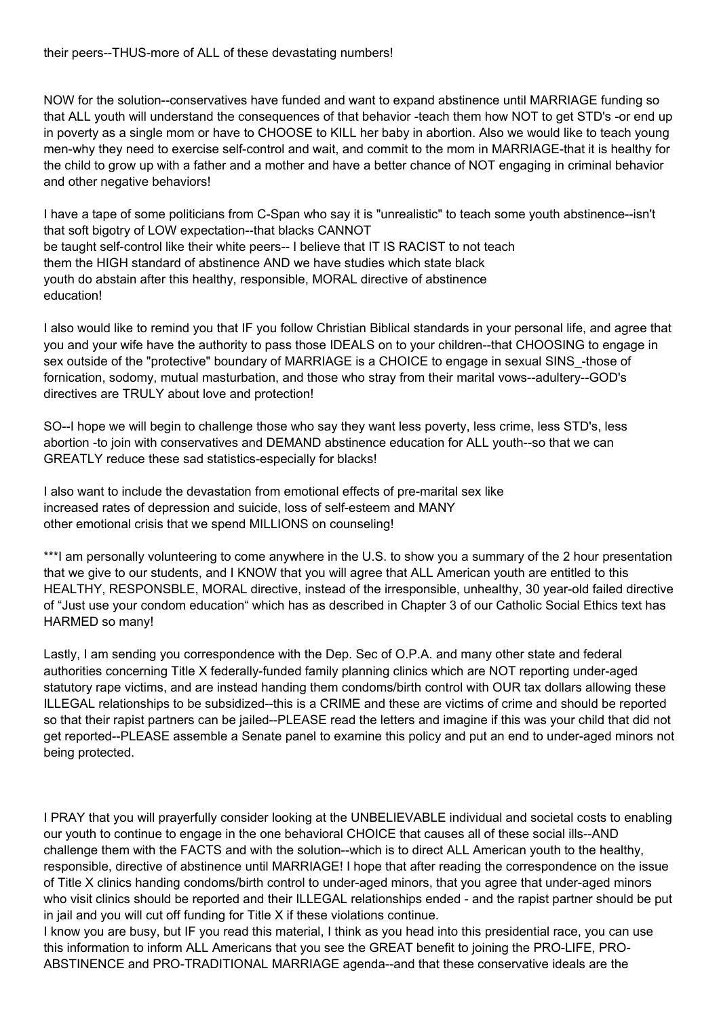NOW for the solution--conservatives have funded and want to expand abstinence until MARRIAGE funding so that ALL youth will understand the consequences of that behavior -teach them how NOT to get STD's -or end up in poverty as a single mom or have to CHOOSE to KILL her baby in abortion. Also we would like to teach young men-why they need to exercise self-control and wait, and commit to the mom in MARRIAGE-that it is healthy for the child to grow up with a father and a mother and have a better chance of NOT engaging in criminal behavior and other negative behaviors!

I have a tape of some politicians from C-Span who say it is "unrealistic" to teach some youth abstinence--isn't that soft bigotry of LOW expectation--that blacks CANNOT be taught self-control like their white peers-- I believe that IT IS RACIST to not teach them the HIGH standard of abstinence AND we have studies which state black youth do abstain after this healthy, responsible, MORAL directive of abstinence education!

I also would like to remind you that IF you follow Christian Biblical standards in your personal life, and agree that you and your wife have the authority to pass those IDEALS on to your children--that CHOOSING to engage in sex outside of the "protective" boundary of MARRIAGE is a CHOICE to engage in sexual SINS\_-those of fornication, sodomy, mutual masturbation, and those who stray from their marital vows--adultery--GOD's directives are TRULY about love and protection!

SO--I hope we will begin to challenge those who say they want less poverty, less crime, less STD's, less abortion -to join with conservatives and DEMAND abstinence education for ALL youth--so that we can GREATLY reduce these sad statistics-especially for blacks!

I also want to include the devastation from emotional effects of pre-marital sex like increased rates of depression and suicide, loss of self-esteem and MANY other emotional crisis that we spend MILLIONS on counseling!

\*\*\*I am personally volunteering to come anywhere in the U.S. to show you a summary of the 2 hour presentation that we give to our students, and I KNOW that you will agree that ALL American youth are entitled to this HEALTHY, RESPONSBLE, MORAL directive, instead of the irresponsible, unhealthy, 30 year-old failed directive of "Just use your condom education" which has as described in Chapter 3 of our Catholic Social Ethics text has HARMED so many!

Lastly, I am sending you correspondence with the Dep. Sec of O.P.A. and many other state and federal authorities concerning Title X federally-funded family planning clinics which are NOT reporting under-aged statutory rape victims, and are instead handing them condoms/birth control with OUR tax dollars allowing these ILLEGAL relationships to be subsidized--this is a CRIME and these are victims of crime and should be reported so that their rapist partners can be jailed--PLEASE read the letters and imagine if this was your child that did not get reported--PLEASE assemble a Senate panel to examine this policy and put an end to under-aged minors not being protected.

I PRAY that you will prayerfully consider looking at the UNBELIEVABLE individual and societal costs to enabling our youth to continue to engage in the one behavioral CHOICE that causes all of these social ills--AND challenge them with the FACTS and with the solution--which is to direct ALL American youth to the healthy, responsible, directive of abstinence until MARRIAGE! I hope that after reading the correspondence on the issue of Title X clinics handing condoms/birth control to under-aged minors, that you agree that under-aged minors who visit clinics should be reported and their ILLEGAL relationships ended - and the rapist partner should be put in jail and you will cut off funding for Title X if these violations continue.

I know you are busy, but IF you read this material, I think as you head into this presidential race, you can use this information to inform ALL Americans that you see the GREAT benefit to joining the PRO-LIFE, PRO-ABSTINENCE and PRO-TRADITIONAL MARRIAGE agenda--and that these conservative ideals are the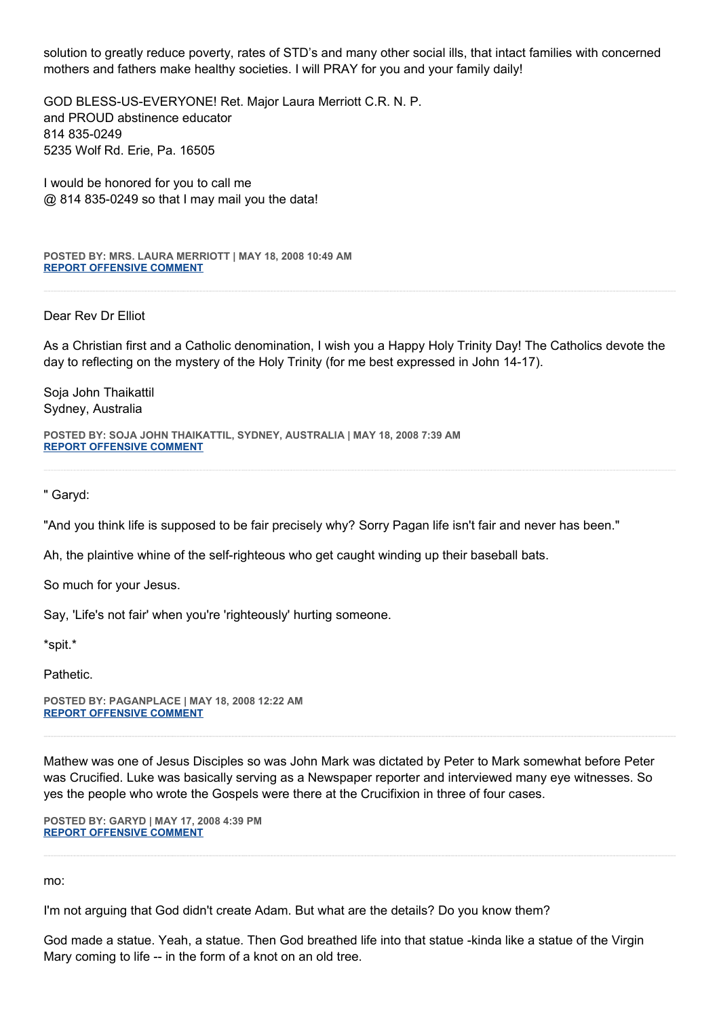solution to greatly reduce poverty, rates of STD's and many other social ills, that intact families with concerned mothers and fathers make healthy societies. I will PRAY for you and your family daily!

GOD BLESS-US-EVERYONE! Ret. Major Laura Merriott C.R. N. P. and PROUD abstinence educator 814 835-0249 5235 Wolf Rd. Erie, Pa. 16505

I would be honored for you to call me @ 814 835-0249 so that I may mail you the data!

**POSTED BY: MRS. LAURA MERRIOTT | MAY 18, 2008 10:49 AM [REPORT OFFENSIVE COMMENT](mailto:blogs@washingtonpost.com?subject=On%20Faith%20Panelists%20Blog%20%20%7C%20%20Mrs.%20Laura%20Merriott%20%20%7C%20%20The%20Good%20News%20of%20Identifying%20Bad%20Religion%20%20%7C%20%203521070&body=%0D%0D%0D%0D%0D================%0D?__mode=view%26_type=comment%26id=3521070%26blog_id=618)**

Dear Rev Dr Elliot

As a Christian first and a Catholic denomination, I wish you a Happy Holy Trinity Day! The Catholics devote the day to reflecting on the mystery of the Holy Trinity (for me best expressed in John 14-17).

Soja John Thaikattil Sydney, Australia

**POSTED BY: SOJA JOHN THAIKATTIL, SYDNEY, AUSTRALIA | MAY 18, 2008 7:39 AM [REPORT OFFENSIVE COMMENT](mailto:blogs@washingtonpost.com?subject=On%20Faith%20Panelists%20Blog%20%20%7C%20%20Soja%20John%20Thaikattil,%20Sydney,%20Australia%20%20%7C%20%20The%20Good%20News%20of%20Identifying%20Bad%20Religion%20%20%7C%20%203520012&body=%0D%0D%0D%0D%0D================%0D?__mode=view%26_type=comment%26id=3520012%26blog_id=618)**

" Garyd:

"And you think life is supposed to be fair precisely why? Sorry Pagan life isn't fair and never has been."

Ah, the plaintive whine of the self-righteous who get caught winding up their baseball bats.

So much for your Jesus.

Say, 'Life's not fair' when you're 'righteously' hurting someone.

\*spit.\*

Pathetic.

**POSTED BY: PAGANPLACE | MAY 18, 2008 12:22 AM [REPORT OFFENSIVE COMMENT](mailto:blogs@washingtonpost.com?subject=On%20Faith%20Panelists%20Blog%20%20%7C%20%20Paganplace%20%20%7C%20%20The%20Good%20News%20of%20Identifying%20Bad%20Religion%20%20%7C%20%203517982&body=%0D%0D%0D%0D%0D================%0D?__mode=view%26_type=comment%26id=3517982%26blog_id=618)**

Mathew was one of Jesus Disciples so was John Mark was dictated by Peter to Mark somewhat before Peter was Crucified. Luke was basically serving as a Newspaper reporter and interviewed many eye witnesses. So yes the people who wrote the Gospels were there at the Crucifixion in three of four cases.

**POSTED BY: GARYD | MAY 17, 2008 4:39 PM [REPORT OFFENSIVE COMMENT](mailto:blogs@washingtonpost.com?subject=On%20Faith%20Panelists%20Blog%20%20%7C%20%20Garyd%20%20%7C%20%20The%20Good%20News%20of%20Identifying%20Bad%20Religion%20%20%7C%20%203515766&body=%0D%0D%0D%0D%0D================%0D?__mode=view%26_type=comment%26id=3515766%26blog_id=618)**

mo:

I'm not arguing that God didn't create Adam. But what are the details? Do you know them?

God made a statue. Yeah, a statue. Then God breathed life into that statue -kinda like a statue of the Virgin Mary coming to life -- in the form of a knot on an old tree.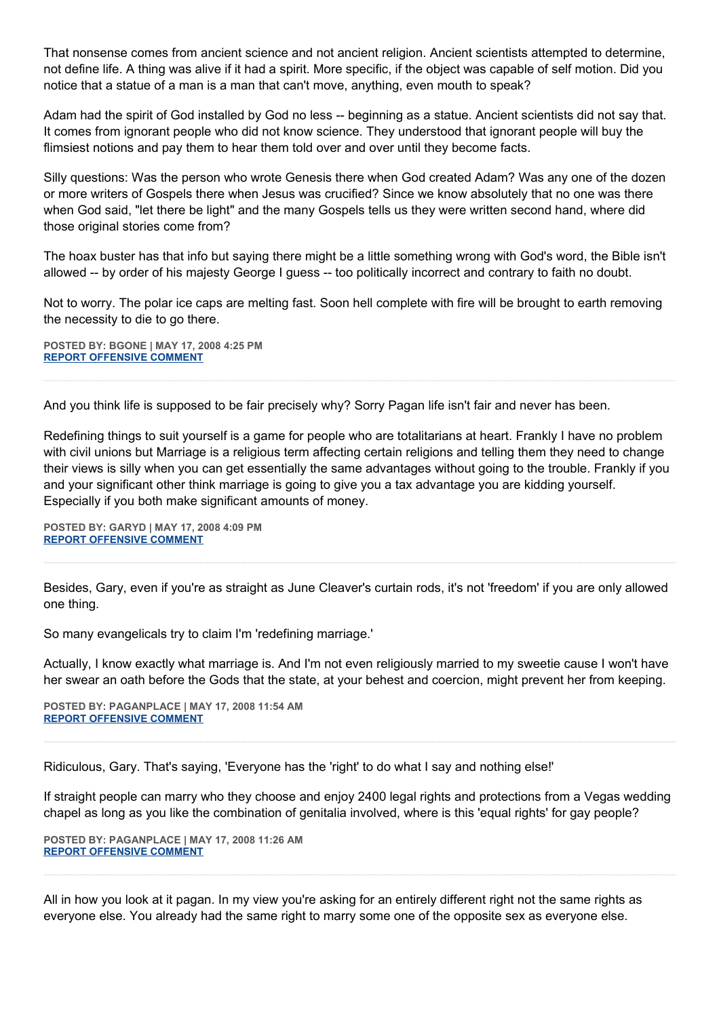That nonsense comes from ancient science and not ancient religion. Ancient scientists attempted to determine, not define life. A thing was alive if it had a spirit. More specific, if the object was capable of self motion. Did you notice that a statue of a man is a man that can't move, anything, even mouth to speak?

Adam had the spirit of God installed by God no less -- beginning as a statue. Ancient scientists did not say that. It comes from ignorant people who did not know science. They understood that ignorant people will buy the flimsiest notions and pay them to hear them told over and over until they become facts.

Silly questions: Was the person who wrote Genesis there when God created Adam? Was any one of the dozen or more writers of Gospels there when Jesus was crucified? Since we know absolutely that no one was there when God said, "let there be light" and the many Gospels tells us they were written second hand, where did those original stories come from?

The hoax buster has that info but saying there might be a little something wrong with God's word, the Bible isn't allowed -- by order of his majesty George I guess -- too politically incorrect and contrary to faith no doubt.

Not to worry. The polar ice caps are melting fast. Soon hell complete with fire will be brought to earth removing the necessity to die to go there.

**POSTED BY: BGONE | MAY 17, 2008 4:25 PM [REPORT OFFENSIVE COMMENT](mailto:blogs@washingtonpost.com?subject=On%20Faith%20Panelists%20Blog%20%20%7C%20%20BGone%20%20%7C%20%20The%20Good%20News%20of%20Identifying%20Bad%20Religion%20%20%7C%20%203515660&body=%0D%0D%0D%0D%0D================%0D?__mode=view%26_type=comment%26id=3515660%26blog_id=618)**

And you think life is supposed to be fair precisely why? Sorry Pagan life isn't fair and never has been.

Redefining things to suit yourself is a game for people who are totalitarians at heart. Frankly I have no problem with civil unions but Marriage is a religious term affecting certain religions and telling them they need to change their views is silly when you can get essentially the same advantages without going to the trouble. Frankly if you and your significant other think marriage is going to give you a tax advantage you are kidding yourself. Especially if you both make significant amounts of money.

**POSTED BY: GARYD | MAY 17, 2008 4:09 PM [REPORT OFFENSIVE COMMENT](mailto:blogs@washingtonpost.com?subject=On%20Faith%20Panelists%20Blog%20%20%7C%20%20Garyd%20%20%7C%20%20The%20Good%20News%20of%20Identifying%20Bad%20Religion%20%20%7C%20%203515545&body=%0D%0D%0D%0D%0D================%0D?__mode=view%26_type=comment%26id=3515545%26blog_id=618)**

Besides, Gary, even if you're as straight as June Cleaver's curtain rods, it's not 'freedom' if you are only allowed one thing.

So many evangelicals try to claim I'm 'redefining marriage.'

Actually, I know exactly what marriage is. And I'm not even religiously married to my sweetie cause I won't have her swear an oath before the Gods that the state, at your behest and coercion, might prevent her from keeping.

**POSTED BY: PAGANPLACE | MAY 17, 2008 11:54 AM [REPORT OFFENSIVE COMMENT](mailto:blogs@washingtonpost.com?subject=On%20Faith%20Panelists%20Blog%20%20%7C%20%20Paganplace%20%20%7C%20%20The%20Good%20News%20of%20Identifying%20Bad%20Religion%20%20%7C%20%203513700&body=%0D%0D%0D%0D%0D================%0D?__mode=view%26_type=comment%26id=3513700%26blog_id=618)**

Ridiculous, Gary. That's saying, 'Everyone has the 'right' to do what I say and nothing else!'

If straight people can marry who they choose and enjoy 2400 legal rights and protections from a Vegas wedding chapel as long as you like the combination of genitalia involved, where is this 'equal rights' for gay people?

**POSTED BY: PAGANPLACE | MAY 17, 2008 11:26 AM [REPORT OFFENSIVE COMMENT](mailto:blogs@washingtonpost.com?subject=On%20Faith%20Panelists%20Blog%20%20%7C%20%20Paganplace%20%20%7C%20%20The%20Good%20News%20of%20Identifying%20Bad%20Religion%20%20%7C%20%203513482&body=%0D%0D%0D%0D%0D================%0D?__mode=view%26_type=comment%26id=3513482%26blog_id=618)**

All in how you look at it pagan. In my view you're asking for an entirely different right not the same rights as everyone else. You already had the same right to marry some one of the opposite sex as everyone else.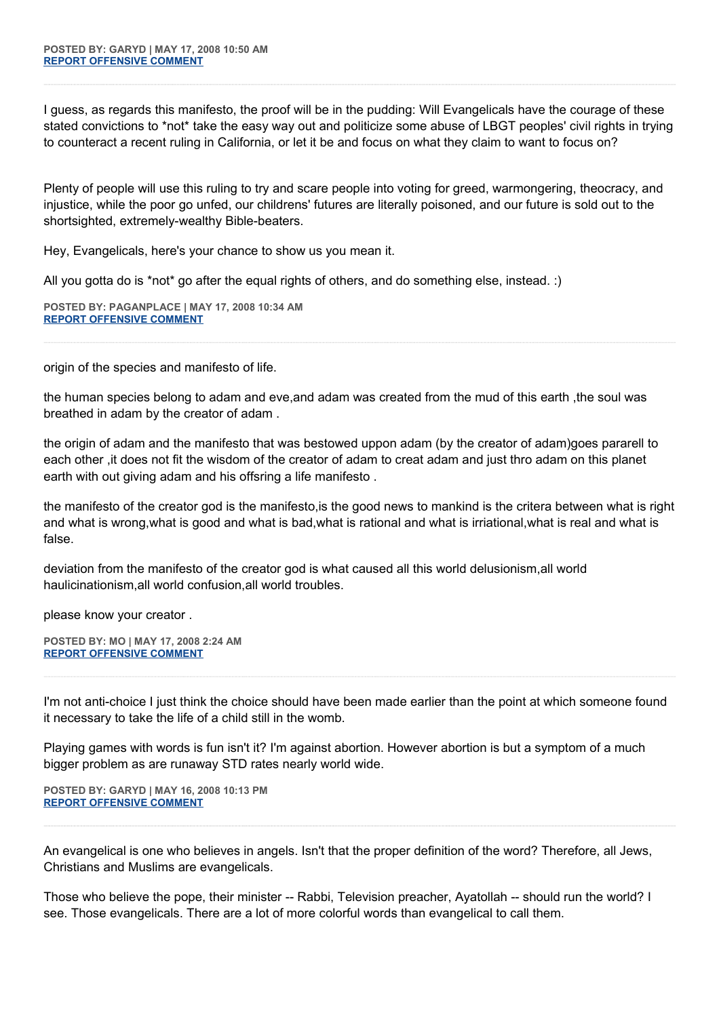I guess, as regards this manifesto, the proof will be in the pudding: Will Evangelicals have the courage of these stated convictions to \*not\* take the easy way out and politicize some abuse of LBGT peoples' civil rights in trying to counteract a recent ruling in California, or let it be and focus on what they claim to want to focus on?

Plenty of people will use this ruling to try and scare people into voting for greed, warmongering, theocracy, and injustice, while the poor go unfed, our childrens' futures are literally poisoned, and our future is sold out to the shortsighted, extremely-wealthy Bible-beaters.

Hey, Evangelicals, here's your chance to show us you mean it.

All you gotta do is \*not\* go after the equal rights of others, and do something else, instead. :)

**POSTED BY: PAGANPLACE | MAY 17, 2008 10:34 AM [REPORT OFFENSIVE COMMENT](mailto:blogs@washingtonpost.com?subject=On%20Faith%20Panelists%20Blog%20%20%7C%20%20Paganplace%20%20%7C%20%20The%20Good%20News%20of%20Identifying%20Bad%20Religion%20%20%7C%20%203513080&body=%0D%0D%0D%0D%0D================%0D?__mode=view%26_type=comment%26id=3513080%26blog_id=618)**

origin of the species and manifesto of life.

the human species belong to adam and eve, and adam was created from the mud of this earth, the soul was breathed in adam by the creator of adam .

the origin of adam and the manifesto that was bestowed uppon adam (by the creator of adam)goes pararell to each other ,it does not fit the wisdom of the creator of adam to creat adam and just thro adam on this planet earth with out giving adam and his offsring a life manifesto .

the manifesto of the creator god is the manifesto,is the good news to mankind is the critera between what is right and what is wrong,what is good and what is bad,what is rational and what is irriational,what is real and what is false.

deviation from the manifesto of the creator god is what caused all this world delusionism,all world haulicinationism,all world confusion,all world troubles.

please know your creator .

**POSTED BY: MO | MAY 17, 2008 2:24 AM [REPORT OFFENSIVE COMMENT](mailto:blogs@washingtonpost.com?subject=On%20Faith%20Panelists%20Blog%20%20%7C%20%20mo%20%20%7C%20%20The%20Good%20News%20of%20Identifying%20Bad%20Religion%20%20%7C%20%203509960&body=%0D%0D%0D%0D%0D================%0D?__mode=view%26_type=comment%26id=3509960%26blog_id=618)**

I'm not anti-choice I just think the choice should have been made earlier than the point at which someone found it necessary to take the life of a child still in the womb.

Playing games with words is fun isn't it? I'm against abortion. However abortion is but a symptom of a much bigger problem as are runaway STD rates nearly world wide.

**POSTED BY: GARYD | MAY 16, 2008 10:13 PM [REPORT OFFENSIVE COMMENT](mailto:blogs@washingtonpost.com?subject=On%20Faith%20Panelists%20Blog%20%20%7C%20%20Garyd%20%20%7C%20%20The%20Good%20News%20of%20Identifying%20Bad%20Religion%20%20%7C%20%203508422&body=%0D%0D%0D%0D%0D================%0D?__mode=view%26_type=comment%26id=3508422%26blog_id=618)**

An evangelical is one who believes in angels. Isn't that the proper definition of the word? Therefore, all Jews, Christians and Muslims are evangelicals.

Those who believe the pope, their minister -- Rabbi, Television preacher, Ayatollah -- should run the world? I see. Those evangelicals. There are a lot of more colorful words than evangelical to call them.